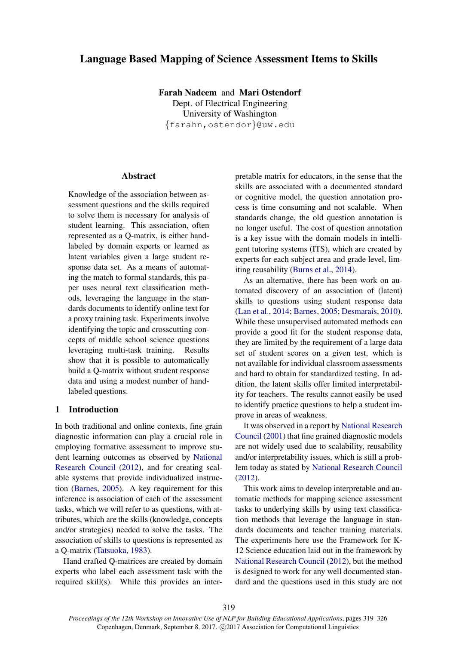# Language Based Mapping of Science Assessment Items to Skills

Farah Nadeem and Mari Ostendorf

Dept. of Electrical Engineering University of Washington {farahn,ostendor}@uw.edu

## **Abstract**

Knowledge of the association between assessment questions and the skills required to solve them is necessary for analysis of student learning. This association, often represented as a Q-matrix, is either handlabeled by domain experts or learned as latent variables given a large student response data set. As a means of automating the match to formal standards, this paper uses neural text classification methods, leveraging the language in the standards documents to identify online text for a proxy training task. Experiments involve identifying the topic and crosscutting concepts of middle school science questions leveraging multi-task training. Results show that it is possible to automatically build a Q-matrix without student response data and using a modest number of handlabeled questions.

### 1 Introduction

In both traditional and online contexts, fine grain diagnostic information can play a crucial role in employing formative assessment to improve student learning outcomes as observed by National Research Council (2012), and for creating scalable systems that provide individualized instruction (Barnes, 2005). A key requirement for this inference is association of each of the assessment tasks, which we will refer to as questions, with attributes, which are the skills (knowledge, concepts and/or strategies) needed to solve the tasks. The association of skills to questions is represented as a Q-matrix (Tatsuoka, 1983).

Hand crafted Q-matrices are created by domain experts who label each assessment task with the required skill(s). While this provides an interpretable matrix for educators, in the sense that the skills are associated with a documented standard or cognitive model, the question annotation process is time consuming and not scalable. When standards change, the old question annotation is no longer useful. The cost of question annotation is a key issue with the domain models in intelligent tutoring systems (ITS), which are created by experts for each subject area and grade level, limiting reusability (Burns et al., 2014).

As an alternative, there has been work on automated discovery of an association of (latent) skills to questions using student response data (Lan et al., 2014; Barnes, 2005; Desmarais, 2010). While these unsupervised automated methods can provide a good fit for the student response data, they are limited by the requirement of a large data set of student scores on a given test, which is not available for individual classroom assessments and hard to obtain for standardized testing. In addition, the latent skills offer limited interpretability for teachers. The results cannot easily be used to identify practice questions to help a student improve in areas of weakness.

It was observed in a report by National Research Council (2001) that fine grained diagnostic models are not widely used due to scalability, reusability and/or interpretability issues, which is still a problem today as stated by National Research Council (2012).

This work aims to develop interpretable and automatic methods for mapping science assessment tasks to underlying skills by using text classification methods that leverage the language in standards documents and teacher training materials. The experiments here use the Framework for K-12 Science education laid out in the framework by National Research Council (2012), but the method is designed to work for any well documented standard and the questions used in this study are not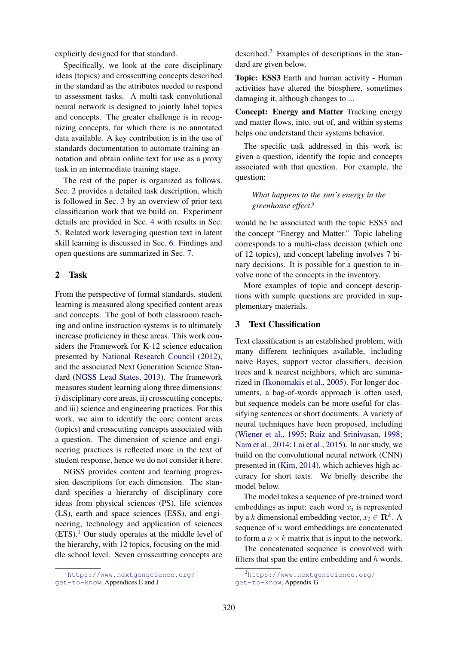explicitly designed for that standard.

Specifically, we look at the core disciplinary ideas (topics) and crosscutting concepts described in the standard as the attributes needed to respond to assessment tasks. A multi-task convolutional neural network is designed to jointly label topics and concepts. The greater challenge is in recognizing concepts, for which there is no annotated data available. A key contribution is in the use of standards documentation to automate training annotation and obtain online text for use as a proxy task in an intermediate training stage.

The rest of the paper is organized as follows. Sec. 2 provides a detailed task description, which is followed in Sec. 3 by an overview of prior text classification work that we build on. Experiment details are provided in Sec. 4 with results in Sec. 5. Related work leveraging question text in latent skill learning is discussed in Sec. 6. Findings and open questions are summarized in Sec. 7.

## 2 Task

From the perspective of formal standards, student learning is measured along specified content areas and concepts. The goal of both classroom teaching and online instruction systems is to ultimately increase proficiency in these areas. This work considers the Framework for K-12 science education presented by National Research Council (2012), and the associated Next Generation Science Standard (NGSS Lead States, 2013). The framework measures student learning along three dimensions: i) disciplinary core areas, ii) crosscutting concepts, and iii) science and engineering practices. For this work, we aim to identify the core content areas (topics) and crosscutting concepts associated with a question. The dimension of science and engineering practices is reflected more in the text of student response, hence we do not consider it here.

NGSS provides content and learning progression descriptions for each dimension. The standard specifies a hierarchy of disciplinary core ideas from physical sciences (PS), life sciences (LS), earth and space sciences (ESS), and engineering, technology and application of sciences  $(ETS).<sup>1</sup>$  Our study operates at the middle level of the hierarchy, with 12 topics, focusing on the middle school level. Seven crosscutting concepts are described.<sup>2</sup> Examples of descriptions in the standard are given below.

Topic: ESS3 Earth and human activity - Human activities have altered the biosphere, sometimes damaging it, although changes to ...

Concept: Energy and Matter Tracking energy and matter flows, into, out of, and within systems helps one understand their systems behavior.

The specific task addressed in this work is: given a question, identify the topic and concepts associated with that question. For example, the question:

*What happens to the sun's energy in the greenhouse effect?*

would be be associated with the topic ESS3 and the concept "Energy and Matter." Topic labeling corresponds to a multi-class decision (which one of 12 topics), and concept labeling involves 7 binary decisions. It is possible for a question to involve none of the concepts in the inventory.

More examples of topic and concept descriptions with sample questions are provided in supplementary materials.

### 3 Text Classification

Text classification is an established problem, with many different techniques available, including naive Bayes, support vector classifiers, decision trees and k nearest neighbors, which are summarized in (Ikonomakis et al., 2005). For longer documents, a bag-of-words approach is often used, but sequence models can be more useful for classifying sentences or short documents. A variety of neural techniques have been proposed, including (Wiener et al., 1995; Ruiz and Srinivasan, 1998; Nam et al., 2014; Lai et al., 2015). In our study, we build on the convolutional neural network (CNN) presented in (Kim, 2014), which achieves high accuracy for short texts. We briefly describe the model below.

The model takes a sequence of pre-trained word embeddings as input: each word  $x_i$  is represented by a k dimensional embedding vector,  $x_i \in \mathbb{R}^k$ . A sequence of  $n$  word embeddings are concatenated to form a  $n \times k$  matrix that is input to the network.

The concatenated sequence is convolved with filters that span the entire embedding and  $h$  words.

<sup>&</sup>lt;sup>1</sup>https://www.nextgenscience.org/ get-to-know, Appendices E and J

<sup>2</sup>https://www.nextgenscience.org/ get-to-know, Appendix G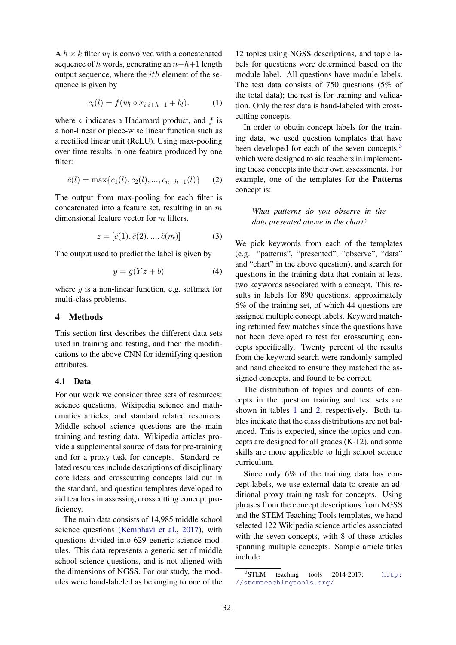A  $h \times k$  filter  $w_l$  is convolved with a concatenated sequence of h words, generating an  $n-h+1$  length output sequence, where the ith element of the sequence is given by

$$
c_i(l) = f(w_l \circ x_{i:i+h-1} + b_l). \tag{1}
$$

where  $\circ$  indicates a Hadamard product, and f is a non-linear or piece-wise linear function such as a rectified linear unit (ReLU). Using max-pooling over time results in one feature produced by one filter:

$$
\hat{c}(l) = \max\{c_1(l), c_2(l), ..., c_{n-h+1}(l)\} \tag{2}
$$

The output from max-pooling for each filter is concatenated into a feature set, resulting in an  $m$ dimensional feature vector for m filters.

$$
z = [\hat{c}(1), \hat{c}(2), ..., \hat{c}(m)] \tag{3}
$$

The output used to predict the label is given by

$$
y = g(Yz + b)
$$
 (4)

where  $q$  is a non-linear function, e.g. softmax for multi-class problems.

# 4 Methods

This section first describes the different data sets used in training and testing, and then the modifications to the above CNN for identifying question attributes.

#### 4.1 Data

For our work we consider three sets of resources: science questions, Wikipedia science and mathematics articles, and standard related resources. Middle school science questions are the main training and testing data. Wikipedia articles provide a supplemental source of data for pre-training and for a proxy task for concepts. Standard related resources include descriptions of disciplinary core ideas and crosscutting concepts laid out in the standard, and question templates developed to aid teachers in assessing crosscutting concept proficiency.

The main data consists of 14,985 middle school science questions (Kembhavi et al., 2017), with questions divided into 629 generic science modules. This data represents a generic set of middle school science questions, and is not aligned with the dimensions of NGSS. For our study, the modules were hand-labeled as belonging to one of the

12 topics using NGSS descriptions, and topic labels for questions were determined based on the module label. All questions have module labels. The test data consists of 750 questions (5% of the total data); the rest is for training and validation. Only the test data is hand-labeled with crosscutting concepts.

In order to obtain concept labels for the training data, we used question templates that have been developed for each of the seven concepts, $3$ which were designed to aid teachers in implementing these concepts into their own assessments. For example, one of the templates for the Patterns concept is:

*What patterns do you observe in the data presented above in the chart?*

We pick keywords from each of the templates (e.g. "patterns", "presented", "observe", "data" and "chart" in the above question), and search for questions in the training data that contain at least two keywords associated with a concept. This results in labels for 890 questions, approximately 6% of the training set, of which 44 questions are assigned multiple concept labels. Keyword matching returned few matches since the questions have not been developed to test for crosscutting concepts specifically. Twenty percent of the results from the keyword search were randomly sampled and hand checked to ensure they matched the assigned concepts, and found to be correct.

The distribution of topics and counts of concepts in the question training and test sets are shown in tables 1 and 2, respectively. Both tables indicate that the class distributions are not balanced. This is expected, since the topics and concepts are designed for all grades (K-12), and some skills are more applicable to high school science curriculum.

Since only 6% of the training data has concept labels, we use external data to create an additional proxy training task for concepts. Using phrases from the concept descriptions from NGSS and the STEM Teaching Tools templates, we hand selected 122 Wikipedia science articles associated with the seven concepts, with 8 of these articles spanning multiple concepts. Sample article titles include:

<sup>&</sup>lt;sup>3</sup>STEM teaching tools 2014-2017: http: //stemteachingtools.org/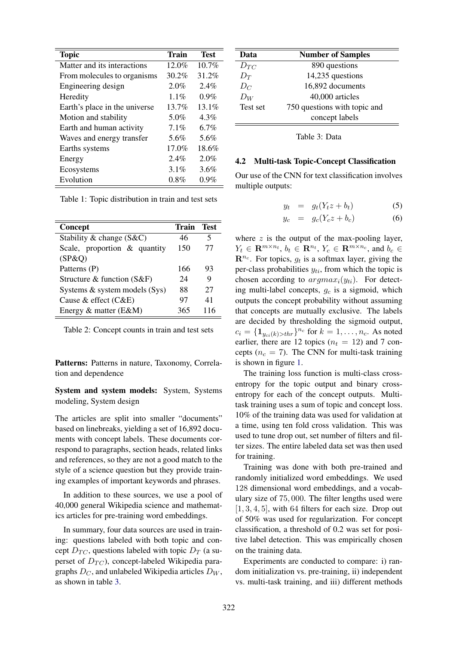| <b>Topic</b>                  | <b>Train</b> | <b>Test</b> |
|-------------------------------|--------------|-------------|
| Matter and its interactions   | $12.0\%$     | $10.7\%$    |
| From molecules to organisms   | 30.2%        | 31.2%       |
| Engineering design            | 2.0%         | $2.4\%$     |
| Heredity                      | $1.1\%$      | $0.9\%$     |
| Earth's place in the universe | 13.7%        | 13.1%       |
| Motion and stability          | 5.0%         | $4.3\%$     |
| Earth and human activity      | $7.1\%$      | 6.7%        |
| Waves and energy transfer     | 5.6%         | 5.6%        |
| Earths systems                | 17.0%        | 18.6%       |
| Energy                        | 2.4%         | 2.0%        |
| Ecosystems                    | $3.1\%$      | 3.6%        |
| Evolution                     | $0.8\%$      | $0.9\%$     |

Table 1: Topic distribution in train and test sets

| Concept                       | Train | Test |
|-------------------------------|-------|------|
| Stability & change (S&C)      | 46    | 5    |
| Scale, proportion & quantity  | 150   | 77   |
| (SP&Q)                        |       |      |
| Patterns (P)                  | 166   | 93   |
| Structure & function $(S\&F)$ | 24    | 9    |
| Systems & system models (Sys) | 88    | 27   |
| Cause & effect $(C&E)$        | 97    | 41   |
| Energy & matter (E&M)         | 365   | 116  |

Table 2: Concept counts in train and test sets

Patterns: Patterns in nature, Taxonomy, Correlation and dependence

System and system models: System, Systems modeling, System design

The articles are split into smaller "documents" based on linebreaks, yielding a set of 16,892 documents with concept labels. These documents correspond to paragraphs, section heads, related links and references, so they are not a good match to the style of a science question but they provide training examples of important keywords and phrases.

In addition to these sources, we use a pool of 40,000 general Wikipedia science and mathematics articles for pre-training word embeddings.

In summary, four data sources are used in training: questions labeled with both topic and concept  $D_{TC}$ , questions labeled with topic  $D_T$  (a superset of  $D_{TC}$ ), concept-labeled Wikipedia paragraphs  $D_C$ , and unlabeled Wikipedia articles  $D_W$ , as shown in table 3.

| Data     | <b>Number of Samples</b>     |
|----------|------------------------------|
| $D_{TC}$ | 890 questions                |
| $D_T$    | 14,235 questions             |
| $D_C$    | 16,892 documents             |
| $D_W$    | 40,000 articles              |
| Test set | 750 questions with topic and |
|          | concept labels               |

Table 3: Data

#### 4.2 Multi-task Topic-Concept Classification

Our use of the CNN for text classification involves multiple outputs:

$$
y_t = g_t(Y_t z + b_t) \tag{5}
$$

$$
y_c = g_c(Y_c z + b_c) \tag{6}
$$

where  $z$  is the output of the max-pooling layer,  $Y_t \in \mathbf{R}^{m \times n_t}$ ,  $b_t \in \mathbf{R}^{n_t}$ ,  $Y_c \in \mathbf{R}^{m \times n_c}$ , and  $b_c \in$  $\mathbf{R}^{n_c}$ . For topics,  $g_t$  is a softmax layer, giving the per-class probabilities  $y_{ti}$ , from which the topic is chosen according to  $argmax_i(y_{ti})$ . For detecting multi-label concepts,  $g_c$  is a sigmoid, which outputs the concept probability without assuming that concepts are mutually exclusive. The labels are decided by thresholding the sigmoid output,  $c_i = \{\mathbf{1}_{y_{ci}(k) > thr}\}^{n_c}$  for  $k = 1, \ldots, n_c$ . As noted earlier, there are 12 topics ( $n_t = 12$ ) and 7 concepts ( $n_c = 7$ ). The CNN for multi-task training is shown in figure 1.

The training loss function is multi-class crossentropy for the topic output and binary crossentropy for each of the concept outputs. Multitask training uses a sum of topic and concept loss. 10% of the training data was used for validation at a time, using ten fold cross validation. This was used to tune drop out, set number of filters and filter sizes. The entire labeled data set was then used for training.

Training was done with both pre-trained and randomly initialized word embeddings. We used 128 dimensional word embeddings, and a vocabulary size of 75, 000. The filter lengths used were  $[1, 3, 4, 5]$ , with 64 filters for each size. Drop out of 50% was used for regularization. For concept classification, a threshold of 0.2 was set for positive label detection. This was empirically chosen on the training data.

Experiments are conducted to compare: i) random initialization vs. pre-training, ii) independent vs. multi-task training, and iii) different methods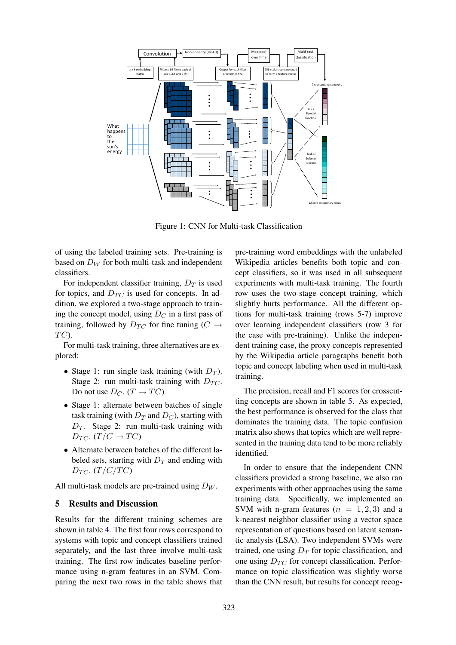

Figure 1: CNN for Multi-task Classification

of using the labeled training sets. Pre-training is based on  $D_W$  for both multi-task and independent classifiers.

For independent classifier training,  $D_T$  is used for topics, and  $D_{TC}$  is used for concepts. In addition, we explored a two-stage approach to training the concept model, using  $D<sub>C</sub>$  in a first pass of training, followed by  $D_{TC}$  for fine tuning ( $C \rightarrow$  $TC$ ).

For multi-task training, three alternatives are explored:

- Stage 1: run single task training (with  $D_T$ ). Stage 2: run multi-task training with  $D_{TC}$ . Do not use  $D_C$ .  $(T \rightarrow TC)$
- Stage 1: alternate between batches of single task training (with  $D_T$  and  $D_C$ ), starting with  $D_T$ . Stage 2: run multi-task training with  $D_{TC}$ .  $(T/C \rightarrow TC)$
- Alternate between batches of the different labeled sets, starting with  $D_T$  and ending with  $D_{TC}$ . (T/C/TC)

All multi-task models are pre-trained using  $D_W$ .

#### 5 Results and Discussion

Results for the different training schemes are shown in table 4. The first four rows correspond to systems with topic and concept classifiers trained separately, and the last three involve multi-task training. The first row indicates baseline performance using n-gram features in an SVM. Comparing the next two rows in the table shows that

pre-training word embeddings with the unlabeled Wikipedia articles benefits both topic and concept classifiers, so it was used in all subsequent experiments with multi-task training. The fourth row uses the two-stage concept training, which slightly hurts performance. All the different options for multi-task training (rows 5-7) improve over learning independent classifiers (row 3 for the case with pre-training). Unlike the independent training case, the proxy concepts represented by the Wikipedia article paragraphs benefit both topic and concept labeling when used in multi-task training.

The precision, recall and F1 scores for crosscutting concepts are shown in table 5. As expected, the best performance is observed for the class that dominates the training data. The topic confusion matrix also shows that topics which are well represented in the training data tend to be more reliably identified.

In order to ensure that the independent CNN classifiers provided a strong baseline, we also ran experiments with other approaches using the same training data. Specifically, we implemented an SVM with n-gram features  $(n = 1, 2, 3)$  and a k-nearest neighbor classifier using a vector space representation of questions based on latent semantic analysis (LSA). Two independent SVMs were trained, one using  $D_T$  for topic classification, and one using  $D_{TC}$  for concept classification. Performance on topic classification was slightly worse than the CNN result, but results for concept recog-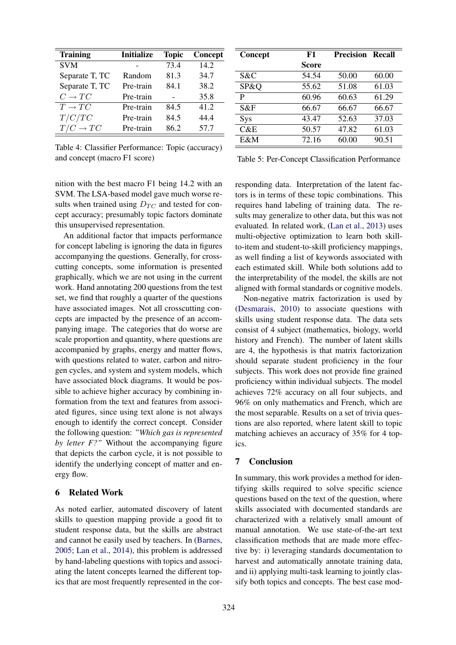| <b>Training</b>      | <b>Initialize</b> | <b>Topic</b> | Concept |
|----------------------|-------------------|--------------|---------|
| <b>SVM</b>           |                   | 73.4         | 14.2    |
| Separate T, TC       | Random            | 81.3         | 34.7    |
| Separate T, TC       | Pre-train         | 84.1         | 38.2    |
| $C \rightarrow TC$   | Pre-train         |              | 35.8    |
| $T \rightarrow TC$   | Pre-train         | 84.5         | 41.2    |
| T/C/TC               | Pre-train         | 84.5         | 44.4    |
| $T/C \rightarrow TC$ | Pre-train         | 86.2         | 57.7    |

Table 4: Classifier Performance: Topic (accuracy) and concept (macro F1 score)

| Concept | F1    | <b>Precision Recall</b> |       |
|---------|-------|-------------------------|-------|
|         | Score |                         |       |
| S&C     | 54.54 | 50.00                   | 60.00 |
| SP&Q    | 55.62 | 51.08                   | 61.03 |
| P       | 60.96 | 60.63                   | 61.29 |
| S&F     | 66.67 | 66.67                   | 66.67 |
| Sys     | 43.47 | 52.63                   | 37.03 |
| C&E     | 50.57 | 47.82                   | 61.03 |
| E&M     | 72.16 | 60.00                   | 90.51 |

Table 5: Per-Concept Classification Performance

nition with the best macro F1 being 14.2 with an SVM. The LSA-based model gave much worse results when trained using  $D_{TC}$  and tested for concept accuracy; presumably topic factors dominate this unsupervised representation.

An additional factor that impacts performance for concept labeling is ignoring the data in figures accompanying the questions. Generally, for crosscutting concepts, some information is presented graphically, which we are not using in the current work. Hand annotating 200 questions from the test set, we find that roughly a quarter of the questions have associated images. Not all crosscutting concepts are impacted by the presence of an accompanying image. The categories that do worse are scale proportion and quantity, where questions are accompanied by graphs, energy and matter flows, with questions related to water, carbon and nitrogen cycles, and system and system models, which have associated block diagrams. It would be possible to achieve higher accuracy by combining information from the text and features from associated figures, since using text alone is not always enough to identify the correct concept. Consider the following question: *"Which gas is represented by letter F?"* Without the accompanying figure that depicts the carbon cycle, it is not possible to identify the underlying concept of matter and energy flow.

# 6 Related Work

As noted earlier, automated discovery of latent skills to question mapping provide a good fit to student response data, but the skills are abstract and cannot be easily used by teachers. In (Barnes, 2005; Lan et al., 2014), this problem is addressed by hand-labeling questions with topics and associating the latent concepts learned the different topics that are most frequently represented in the cor-

responding data. Interpretation of the latent factors is in terms of these topic combinations. This requires hand labeling of training data. The results may generalize to other data, but this was not evaluated. In related work, (Lan et al., 2013) uses multi-objective optimization to learn both skillto-item and student-to-skill proficiency mappings, as well finding a list of keywords associated with each estimated skill. While both solutions add to the interpretability of the model, the skills are not aligned with formal standards or cognitive models.

Non-negative matrix factorization is used by (Desmarais, 2010) to associate questions with skills using student response data. The data sets consist of 4 subject (mathematics, biology, world history and French). The number of latent skills are 4, the hypothesis is that matrix factorization should separate student proficiency in the four subjects. This work does not provide fine grained proficiency within individual subjects. The model achieves 72% accuracy on all four subjects, and 96% on only mathematics and French, which are the most separable. Results on a set of trivia questions are also reported, where latent skill to topic matching achieves an accuracy of 35% for 4 topics.

# 7 Conclusion

In summary, this work provides a method for identifying skills required to solve specific science questions based on the text of the question, where skills associated with documented standards are characterized with a relatively small amount of manual annotation. We use state-of-the-art text classification methods that are made more effective by: i) leveraging standards documentation to harvest and automatically annotate training data, and ii) applying multi-task learning to jointly classify both topics and concepts. The best case mod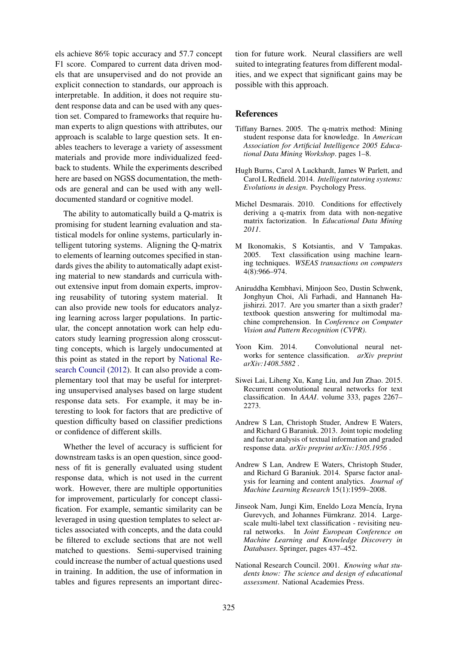els achieve 86% topic accuracy and 57.7 concept F1 score. Compared to current data driven models that are unsupervised and do not provide an explicit connection to standards, our approach is interpretable. In addition, it does not require student response data and can be used with any question set. Compared to frameworks that require human experts to align questions with attributes, our approach is scalable to large question sets. It enables teachers to leverage a variety of assessment materials and provide more individualized feedback to students. While the experiments described here are based on NGSS documentation, the methods are general and can be used with any welldocumented standard or cognitive model.

The ability to automatically build a Q-matrix is promising for student learning evaluation and statistical models for online systems, particularly intelligent tutoring systems. Aligning the Q-matrix to elements of learning outcomes specified in standards gives the ability to automatically adapt existing material to new standards and curricula without extensive input from domain experts, improving reusability of tutoring system material. It can also provide new tools for educators analyzing learning across larger populations. In particular, the concept annotation work can help educators study learning progression along crosscutting concepts, which is largely undocumented at this point as stated in the report by National Research Council (2012). It can also provide a complementary tool that may be useful for interpreting unsupervised analyses based on large student response data sets. For example, it may be interesting to look for factors that are predictive of question difficulty based on classifier predictions or confidence of different skills.

Whether the level of accuracy is sufficient for downstream tasks is an open question, since goodness of fit is generally evaluated using student response data, which is not used in the current work. However, there are multiple opportunities for improvement, particularly for concept classification. For example, semantic similarity can be leveraged in using question templates to select articles associated with concepts, and the data could be filtered to exclude sections that are not well matched to questions. Semi-supervised training could increase the number of actual questions used in training. In addition, the use of information in tables and figures represents an important direc-

tion for future work. Neural classifiers are well suited to integrating features from different modalities, and we expect that significant gains may be possible with this approach.

### References

- Tiffany Barnes. 2005. The q-matrix method: Mining student response data for knowledge. In *American Association for Artificial Intelligence 2005 Educational Data Mining Workshop*. pages 1–8.
- Hugh Burns, Carol A Luckhardt, James W Parlett, and Carol L Redfield. 2014. *Intelligent tutoring systems: Evolutions in design*. Psychology Press.
- Michel Desmarais. 2010. Conditions for effectively deriving a q-matrix from data with non-negative matrix factorization. In *Educational Data Mining 2011*.
- M Ikonomakis, S Kotsiantis, and V Tampakas. 2005. Text classification using machine learning techniques. *WSEAS transactions on computers* 4(8):966–974.
- Aniruddha Kembhavi, Minjoon Seo, Dustin Schwenk, Jonghyun Choi, Ali Farhadi, and Hannaneh Hajishirzi. 2017. Are you smarter than a sixth grader? textbook question answering for multimodal machine comprehension. In *Conference on Computer Vision and Pattern Recognition (CVPR)*.
- Yoon Kim. 2014. Convolutional neural networks for sentence classification. *arXiv preprint arXiv:1408.5882* .
- Siwei Lai, Liheng Xu, Kang Liu, and Jun Zhao. 2015. Recurrent convolutional neural networks for text classification. In *AAAI*. volume 333, pages 2267– 2273.
- Andrew S Lan, Christoph Studer, Andrew E Waters, and Richard G Baraniuk. 2013. Joint topic modeling and factor analysis of textual information and graded response data. *arXiv preprint arXiv:1305.1956* .
- Andrew S Lan, Andrew E Waters, Christoph Studer, and Richard G Baraniuk. 2014. Sparse factor analysis for learning and content analytics. *Journal of Machine Learning Research* 15(1):1959–2008.
- Jinseok Nam, Jungi Kim, Eneldo Loza Mencía, Iryna Gurevych, and Johannes Fürnkranz. 2014. Largescale multi-label text classification - revisiting neural networks. In *Joint European Conference on Machine Learning and Knowledge Discovery in Databases*. Springer, pages 437–452.
- National Research Council. 2001. *Knowing what students know: The science and design of educational assessment*. National Academies Press.